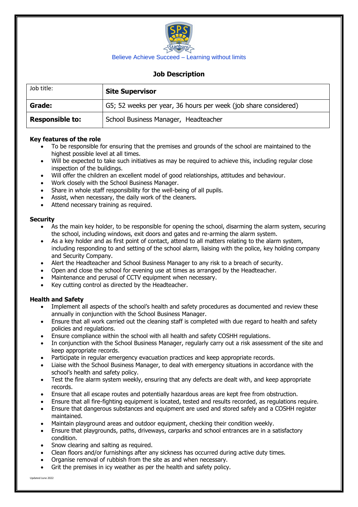

# **Job Description**

| Job title:             | <b>Site Supervisor</b>                                          |  |
|------------------------|-----------------------------------------------------------------|--|
| Grade:                 | G5; 52 weeks per year, 36 hours per week (job share considered) |  |
| <b>Responsible to:</b> | School Business Manager, Headteacher                            |  |

## **Key features of the role**

- To be responsible for ensuring that the premises and grounds of the school are maintained to the highest possible level at all times.
- Will be expected to take such initiatives as may be required to achieve this, including regular close inspection of the buildings.
- Will offer the children an excellent model of good relationships, attitudes and behaviour.
- Work closely with the School Business Manager.
- Share in whole staff responsibility for the well-being of all pupils.
- Assist, when necessary, the daily work of the cleaners.
- Attend necessary training as required.

#### **Security**

- As the main key holder, to be responsible for opening the school, disarming the alarm system, securing the school, including windows, exit doors and gates and re-arming the alarm system.
- As a key holder and as first point of contact, attend to all matters relating to the alarm system, including responding to and setting of the school alarm, liaising with the police, key holding company and Security Company.
- Alert the Headteacher and School Business Manager to any risk to a breach of security.
- Open and close the school for evening use at times as arranged by the Headteacher.
- Maintenance and perusal of CCTV equipment when necessary.
- Key cutting control as directed by the Headteacher.

## **Health and Safety**

- Implement all aspects of the school's health and safety procedures as documented and review these annually in conjunction with the School Business Manager.
- Ensure that all work carried out the cleaning staff is completed with due regard to health and safety policies and regulations.
- Ensure compliance within the school with all health and safety COSHH regulations.
- In conjunction with the School Business Manager, regularly carry out a risk assessment of the site and keep appropriate records.
- Participate in regular emergency evacuation practices and keep appropriate records.
- Liaise with the School Business Manager, to deal with emergency situations in accordance with the school's health and safety policy.
- Test the fire alarm system weekly, ensuring that any defects are dealt with, and keep appropriate records.
- Ensure that all escape routes and potentially hazardous areas are kept free from obstruction.
- Ensure that all fire-fighting equipment is located, tested and results recorded, as regulations require.
- Ensure that dangerous substances and equipment are used and stored safely and a COSHH register maintained.
- Maintain playground areas and outdoor equipment, checking their condition weekly.
- Ensure that playgrounds, paths, driveways, carparks and school entrances are in a satisfactory condition.
- Snow clearing and salting as required.
- Clean floors and/or furnishings after any sickness has occurred during active duty times.
- Organise removal of rubbish from the site as and when necessary.
- Grit the premises in icy weather as per the health and safety policy.

Updated June 2022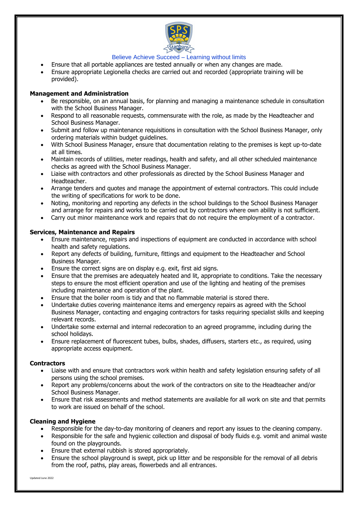

- Ensure that all portable appliances are tested annually or when any changes are made.
- Ensure appropriate Legionella checks are carried out and recorded (appropriate training will be provided).

## **Management and Administration**

- Be responsible, on an annual basis, for planning and managing a maintenance schedule in consultation with the School Business Manager.
- Respond to all reasonable requests, commensurate with the role, as made by the Headteacher and School Business Manager.
- Submit and follow up maintenance requisitions in consultation with the School Business Manager, only ordering materials within budget guidelines.
- With School Business Manager, ensure that documentation relating to the premises is kept up-to-date at all times.
- Maintain records of utilities, meter readings, health and safety, and all other scheduled maintenance checks as agreed with the School Business Manager.
- Liaise with contractors and other professionals as directed by the School Business Manager and Headteacher.
- Arrange tenders and quotes and manage the appointment of external contractors. This could include the writing of specifications for work to be done.
- Noting, monitoring and reporting any defects in the school buildings to the School Business Manager and arrange for repairs and works to be carried out by contractors where own ability is not sufficient.
- Carry out minor maintenance work and repairs that do not require the employment of a contractor.

## **Services, Maintenance and Repairs**

- Ensure maintenance, repairs and inspections of equipment are conducted in accordance with school health and safety regulations.
- Report any defects of building, furniture, fittings and equipment to the Headteacher and School Business Manager.
- Ensure the correct signs are on display e.g. exit, first aid signs.
- Ensure that the premises are adequately heated and lit, appropriate to conditions. Take the necessary steps to ensure the most efficient operation and use of the lighting and heating of the premises including maintenance and operation of the plant.
- Ensure that the boiler room is tidy and that no flammable material is stored there.
- Undertake duties covering maintenance items and emergency repairs as agreed with the School Business Manager, contacting and engaging contractors for tasks requiring specialist skills and keeping relevant records.
- Undertake some external and internal redecoration to an agreed programme, including during the school holidays.
- Ensure replacement of fluorescent tubes, bulbs, shades, diffusers, starters etc., as required, using appropriate access equipment.

## **Contractors**

- Liaise with and ensure that contractors work within health and safety legislation ensuring safety of all persons using the school premises.
- Report any problems/concerns about the work of the contractors on site to the Headteacher and/or School Business Manager.
- Ensure that risk assessments and method statements are available for all work on site and that permits to work are issued on behalf of the school.

## **Cleaning and Hygiene**

- Responsible for the day-to-day monitoring of cleaners and report any issues to the cleaning company.
- Responsible for the safe and hygienic collection and disposal of body fluids e.g. vomit and animal waste found on the playgrounds.
- Ensure that external rubbish is stored appropriately.
- Ensure the school playground is swept, pick up litter and be responsible for the removal of all debris from the roof, paths, play areas, flowerbeds and all entrances.

Updated June 2022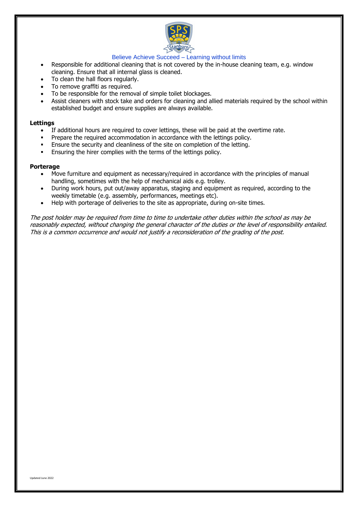

- Responsible for additional cleaning that is not covered by the in-house cleaning team, e.g. window cleaning. Ensure that all internal glass is cleaned.
- To clean the hall floors regularly.
- To remove graffiti as required.
- To be responsible for the removal of simple toilet blockages.
- Assist cleaners with stock take and orders for cleaning and allied materials required by the school within established budget and ensure supplies are always available.

#### **Lettings**

- If additional hours are required to cover lettings, these will be paid at the overtime rate.
- Prepare the required accommodation in accordance with the lettings policy.
- Ensure the security and cleanliness of the site on completion of the letting.
- Ensuring the hirer complies with the terms of the lettings policy.

#### **Porterage**

- Move furniture and equipment as necessary/required in accordance with the principles of manual handling, sometimes with the help of mechanical aids e.g. trolley.
- During work hours, put out/away apparatus, staging and equipment as required, according to the weekly timetable (e.g. assembly, performances, meetings etc).
- Help with porterage of deliveries to the site as appropriate, during on-site times.

The post holder may be required from time to time to undertake other duties within the school as may be reasonably expected, without changing the general character of the duties or the level of responsibility entailed. This is a common occurrence and would not justify a reconsideration of the grading of the post.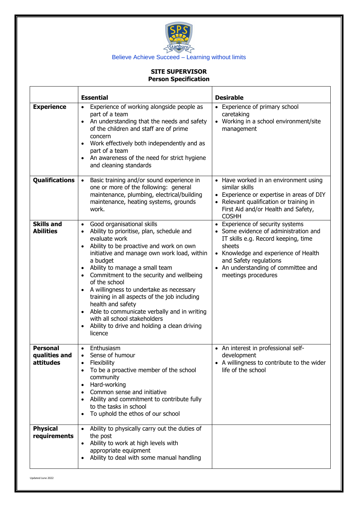

# **SITE SUPERVISOR Person Specification**

|                                               | <b>Essential</b>                                                                                                                                                                                                                                                                                                                                                                                                                                                                                                                                                                                                                                                | <b>Desirable</b>                                                                                                                                                                                                                                           |
|-----------------------------------------------|-----------------------------------------------------------------------------------------------------------------------------------------------------------------------------------------------------------------------------------------------------------------------------------------------------------------------------------------------------------------------------------------------------------------------------------------------------------------------------------------------------------------------------------------------------------------------------------------------------------------------------------------------------------------|------------------------------------------------------------------------------------------------------------------------------------------------------------------------------------------------------------------------------------------------------------|
| <b>Experience</b>                             | Experience of working alongside people as<br>$\bullet$<br>part of a team<br>An understanding that the needs and safety<br>$\bullet$<br>of the children and staff are of prime<br>concern<br>Work effectively both independently and as<br>part of a team<br>An awareness of the need for strict hygiene<br>and cleaning standards                                                                                                                                                                                                                                                                                                                               | • Experience of primary school<br>caretaking<br>• Working in a school environment/site<br>management                                                                                                                                                       |
| <b>Qualifications</b>                         | Basic training and/or sound experience in<br>$\bullet$<br>one or more of the following: general<br>maintenance, plumbing, electrical/building<br>maintenance, heating systems, grounds<br>work.                                                                                                                                                                                                                                                                                                                                                                                                                                                                 | • Have worked in an environment using<br>similar skills<br>• Experience or expertise in areas of DIY<br>• Relevant qualification or training in<br>First Aid and/or Health and Safety,<br><b>COSHH</b>                                                     |
| <b>Skills and</b><br><b>Abilities</b>         | Good organisational skills<br>$\bullet$<br>Ability to prioritise, plan, schedule and<br>$\bullet$<br>evaluate work<br>Ability to be proactive and work on own<br>$\bullet$<br>initiative and manage own work load, within<br>a budget<br>Ability to manage a small team<br>$\bullet$<br>Commitment to the security and wellbeing<br>$\bullet$<br>of the school<br>A willingness to undertake as necessary<br>$\bullet$<br>training in all aspects of the job including<br>health and safety<br>Able to communicate verbally and in writing<br>$\bullet$<br>with all school stakeholders<br>Ability to drive and holding a clean driving<br>$\bullet$<br>licence | • Experience of security systems<br>• Some evidence of administration and<br>IT skills e.g. Record keeping, time<br>sheets<br>• Knowledge and experience of Health<br>and Safety regulations<br>• An understanding of committee and<br>meetings procedures |
| <b>Personal</b><br>qualities and<br>attitudes | Enthusiasm<br>$\bullet$<br>Sense of humour<br>Flexibility<br>$\bullet$<br>To be a proactive member of the school<br>$\bullet$<br>community<br>Hard-working<br>$\bullet$<br>Common sense and initiative<br>$\bullet$<br>Ability and commitment to contribute fully<br>$\bullet$<br>to the tasks in school<br>To uphold the ethos of our school                                                                                                                                                                                                                                                                                                                   | • An interest in professional self-<br>development<br>• A willingness to contribute to the wider<br>life of the school                                                                                                                                     |
| <b>Physical</b><br>requirements               | Ability to physically carry out the duties of<br>$\bullet$<br>the post<br>Ability to work at high levels with<br>$\bullet$<br>appropriate equipment<br>Ability to deal with some manual handling                                                                                                                                                                                                                                                                                                                                                                                                                                                                |                                                                                                                                                                                                                                                            |